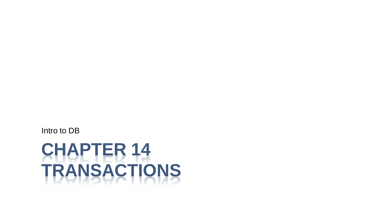**CHAPTER 14 TRANSACTIONS**

Intro to DB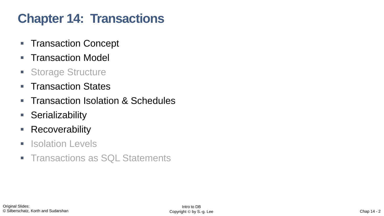# **Chapter 14: Transactions**

- Transaction Concept
- Transaction Model
- Storage Structure
- Transaction States
- Transaction Isolation & Schedules
- Serializability
- Recoverability
- **E** Isolation Levels
- **Transactions as SQL Statements**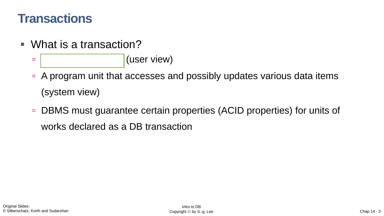#### **Transactions**

- What is a transaction?
	- $\begin{array}{c|c} \hline \text{L} & \text{L} \end{array}$  (user view)
	- A program unit that accesses and possibly updates various data items (system view)
	- DBMS must guarantee certain properties (ACID properties) for units of works declared as a DB transaction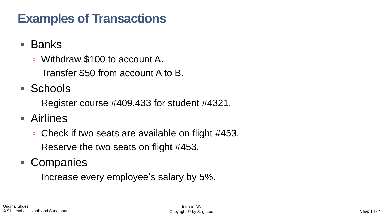# **Examples of Transactions**

- Banks
	- Withdraw \$100 to account A.
	- □ Transfer \$50 from account A to B.
- Schools
	- Register course #409.433 for student #4321.
- Airlines
	- □ Check if two seats are available on flight #453.
	- Reserve the two seats on flight #453.
- Companies
	- Increase every employee's salary by 5%.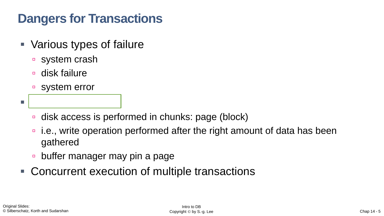# **Dangers for Transactions**

- Various types of failure
	- system crash
	- disk failure
	- system error

▪ Delayed disk write

- disk access is performed in chunks: page (block)
- i.e., write operation performed after the right amount of data has been gathered
- **buffer manager may pin a page**
- Concurrent execution of multiple transactions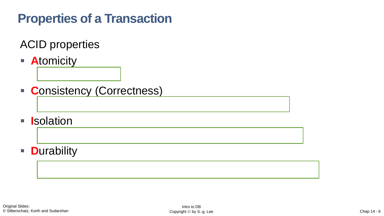# **Properties of a Transaction**

ACID properties

"all or nothing" and "all or nothing" and "all" all or nothing the state of the state of the state of the state of the state of the state of the state of the state of the state of the state of the state of the state of the

- **E** Atomicity
- **C**onsistency (Correctness)
- **E I**solation
- **D**urability

The effect of a complete transaction should be durable  $\mathcal{C}$  and  $\mathcal{C}$  and  $\mathcal{C}$  public  $\mathcal{C}$  public  $\mathcal{C}$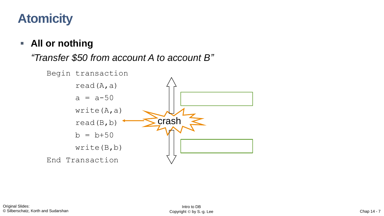# **Atomicity**

#### ▪ **All or nothing**

#### *"Transfer \$50 from account A to account B"*

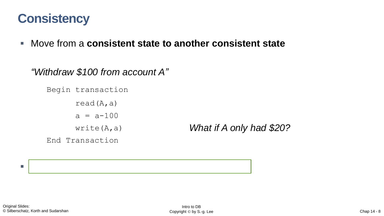## **Consistency**

▪ Move from a **consistent state to another consistent state**

```
"Withdraw $100 from account A"
   Begin transaction
         read(A, a)a = a - 100write(A,a)
   End Transaction
```
*What if A only had \$20?*

 $\blacksquare$  Responsibility of programmers of programmers of programmers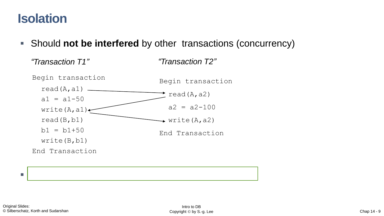#### **Isolation**

■ Should **not be interfered** by other transactions (concurrency)



 $\blacksquare$  Serial Execution VS Concurrent Execution VS Concurrent Execution VS Concurrent Execution VS Concurrent Execution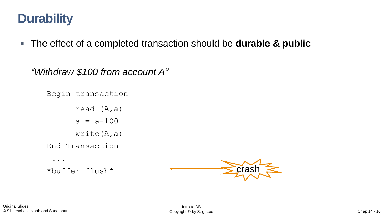## **Durability**

■ The effect of a completed transaction should be **durable & public** 

*"Withdraw \$100 from account A"*

```
Begin transaction
      read (A,a)
      a = a - 100write(A,a)
End Transaction
 ...
*buffer flush*
```
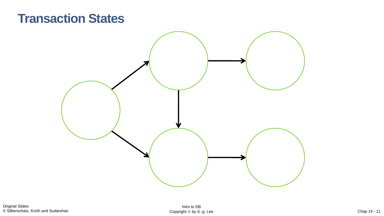#### **Transaction States**

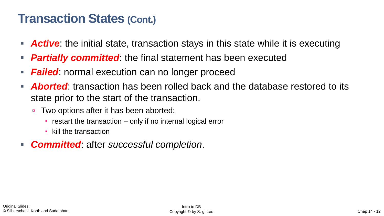#### **Transaction States (Cont.)**

- **Active**: the initial state, transaction stays in this state while it is executing
- **Partially committed:** the final statement has been executed
- **Failed:** normal execution can no longer proceed
- **Aborted:** transaction has been rolled back and the database restored to its state prior to the start of the transaction.
	- Two options after it has been aborted:
		- $\cdot$  restart the transaction  $-$  only if no internal logical error
		- kill the transaction
- *Committed*: after *successful completion*.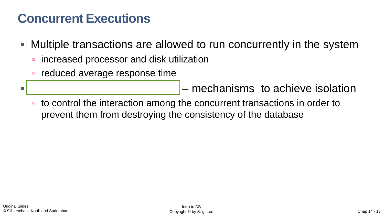# **Concurrent Executions**

- Multiple transactions are allowed to run concurrently in the system
	- increased processor and disk utilization
	- reduced average response time

**T Concurrency control schemes** – mechanisms to achieve isolation

■ to control the interaction among the concurrent transactions in order to prevent them from destroying the consistency of the database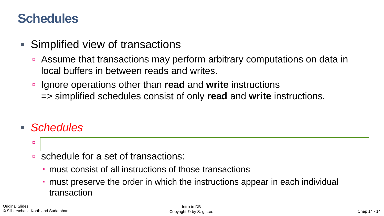## **Schedules**

- **Simplified view of transactions** 
	- Assume that transactions may perform arbitrary computations on data in local buffers in between reads and writes.
	- Ignore operations other than **read** and **write** instructions => simplified schedules consist of only **read** and **write** instructions.
- *Schedules*
	- sequences of instructions that indicate that indicate that indicate the chronological order of executions  $\mathbf{r}$
	- schedule for a set of transactions:
		- must consist of all instructions of those transactions
		- must preserve the order in which the instructions appear in each individual transaction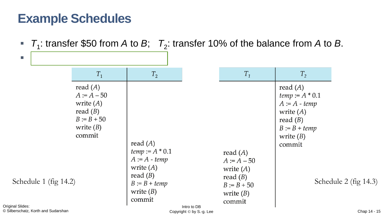## **Example Schedules**

■  $T_1$ : transfer \$50 from *A* to *B*;  $T_2$ : transfer 10% of the balance from *A* to *B*.

| $\mathbb{R}^n$                                   |                                                                                                   |                                                                                                                             |                                         |                                                                                                    |                                                                                                                                    |                       |
|--------------------------------------------------|---------------------------------------------------------------------------------------------------|-----------------------------------------------------------------------------------------------------------------------------|-----------------------------------------|----------------------------------------------------------------------------------------------------|------------------------------------------------------------------------------------------------------------------------------------|-----------------------|
|                                                  | $T_1$                                                                                             | $T_{2}$                                                                                                                     |                                         | $T_1$                                                                                              | $T_{2}$                                                                                                                            |                       |
| Schedule 1 (fig 14.2)<br><b>Original Slides:</b> | read $(A)$<br>$A = A - 50$<br>write $(A)$<br>read $(B)$<br>$B := B + 50$<br>write $(B)$<br>commit | read $(A)$<br>$temp := A * 0.1$<br>$A := A - temp$<br>write $(A)$<br>read $(B)$<br>$B := B + temp$<br>write $(B)$<br>commit |                                         | read $(A)$<br>$A := A - 50$<br>write $(A)$<br>read $(B)$<br>$B := B + 50$<br>write $(B)$<br>commit | read $(A)$<br><i>temp</i> := $A * 0.1$<br>$A := A - temp$<br>write $(A)$<br>read $(B)$<br>$B := B + temp$<br>write $(B)$<br>commit | Schedule 2 (fig 14.3) |
| © Silberschatz, Korth and Sudarshan              |                                                                                                   |                                                                                                                             | Intro to DB<br>Copyright © by S.-g. Lee |                                                                                                    |                                                                                                                                    | Chap 14 - 15          |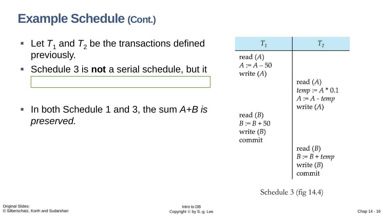# **Example Schedule (Cont.)**

is equivalent to Schedule 1

- **Let**  $T_1$  **and**  $T_2$  **be the transactions defined** previously.
- Schedule 3 is **not** a serial schedule, but it

■ In both Schedule 1 and 3, the sum A+B is *preserved.*

| $T_{1}$                                                                                  | $T^{}_{2}$                                                               |  |
|------------------------------------------------------------------------------------------|--------------------------------------------------------------------------|--|
| read $(A)$<br>$A := A - 50$<br>write $(A)$<br>read $(B)$<br>$B := B + 50$<br>write $(B)$ | read $(A)$<br><i>temp</i> := $A * 0.1$<br>$A := A - temp$<br>write $(A)$ |  |
| commit                                                                                   | read $(B)$<br>$B := B + temp$<br>write $(B)$<br>commit                   |  |
| Schedule $3$ (fig 14.4)                                                                  |                                                                          |  |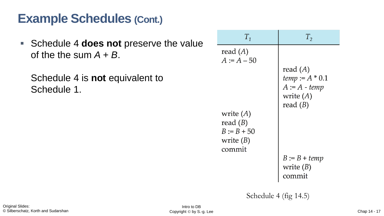# **Example Schedules (Cont.)**

▪ Schedule 4 **does not** preserve the value of the the sum  $A + B$ .

Schedule 4 is **not** equivalent to Schedule 1.

| $T_{1}$                                                             | $T_{2}$                                                                         |
|---------------------------------------------------------------------|---------------------------------------------------------------------------------|
| read $(A)$<br>$A := A - 50$                                         | read $(A)$<br>$temp := A * 0.1$<br>$A := A - temp$<br>write $(A)$<br>read $(B)$ |
| write $(A)$<br>read $(B)$<br>$B := B + 50$<br>write $(B)$<br>commit | $B := B + temp$<br>write $(B)$<br>commit                                        |

Schedule 4 (fig 14.5)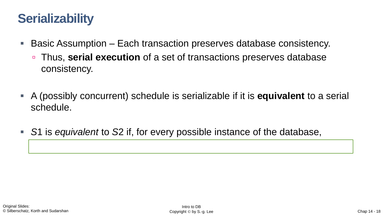# **Serializability**

- Basic Assumption Each transaction preserves database consistency.
	- Thus, **serial execution** of a set of transactions preserves database consistency.
- A (possibly concurrent) schedule is serializable if it is **equivalent** to a serial schedule.
- S1 is *equivalent* to S2 if, for every possible instance of the database,

execution of *S*1 results in the same DB state as the execution of *S*2.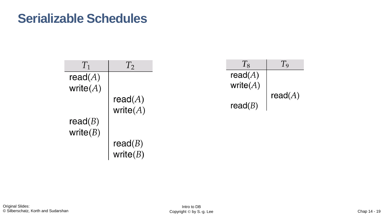#### **Serializable Schedules**

| $T_1$                     | $T_2$                                 | $T_8$                  | $T_{9}$    |
|---------------------------|---------------------------------------|------------------------|------------|
| read $(A)$<br>write $(A)$ |                                       | read(A)<br>write $(A)$ |            |
|                           | read( $A$ )<br>write( $A$ )           | read(B)                | read $(A)$ |
| read $(B)$<br>write $(B)$ |                                       |                        |            |
|                           | read( <i>B</i> )<br>write( <i>B</i> ) |                        |            |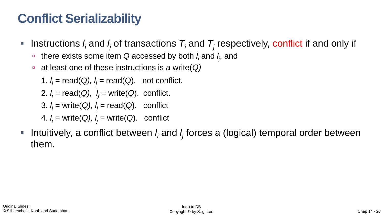# **Conflict Serializability**

- **•** Instructions  $I_i$  and  $I_j$  of transactions  $T_i$  and  $T_j$  respectively, conflict if and only if
	- there exists some item Q accessed by both *I<sub>i</sub>* and *I<sub>j</sub>*, and
	- at least one of these instructions is a write(*Q)*

1. 
$$
l_i
$$
 = read(Q),  $l_j$  = read(Q). not conflict.

2. 
$$
I_i = \text{read}(Q)
$$
,  $I_j = \text{write}(Q)$ . conflict.

- 3. *l <sup>i</sup>* = write(*Q), l <sup>j</sup> =* read(*Q*). conflict
- 4. *l <sup>i</sup>* = write(*Q), l <sup>j</sup> =* write(*Q*). conflict
- Intuitively, a conflict between *l<sub>i</sub>* and *l<sub>j</sub>* forces a (logical) temporal order between them.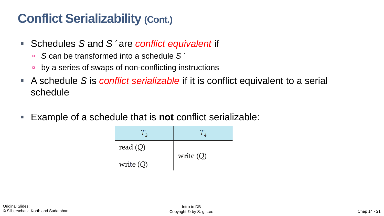# **Conflict Serializability (Cont.)**

- Schedules S and S'are *conflict equivalent* if
	- *S* can be transformed into a schedule *S*´
	- **by a series of swaps of non-conflicting instructions**
- A schedule *S* is *conflict serializable* if it is conflict equivalent to a serial schedule
- Example of a schedule that is **not** conflict serializable:

| $\mathbf{1}_3$ |             |  |
|----------------|-------------|--|
| read $(Q)$     |             |  |
| write $(Q)$    | write $(Q)$ |  |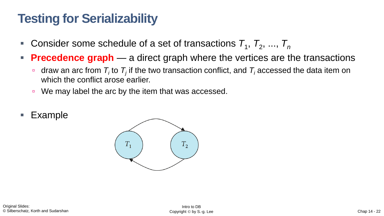# **Testing for Serializability**

- Consider some schedule of a set of transactions  $T_1$ ,  $T_2$ , ...,  $T_n$
- **Precedence graph** a direct graph where the vertices are the transactions
	- $\blacksquare$  draw an arc from  $\mathcal{T}_i$  to  $\mathcal{T}_j$  if the two transaction conflict, and  $\mathcal{T}_i$  accessed the data item on which the conflict arose earlier.
	- We may label the arc by the item that was accessed.
- **Example**

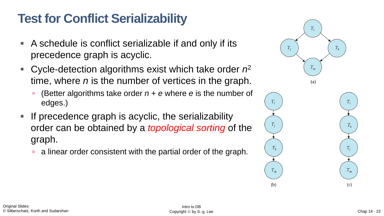# **Test for Conflict Serializability**

- A schedule is conflict serializable if and only if its precedence graph is acyclic.
- Cycle-detection algorithms exist which take order  $n^2$ time, where *n* is the number of vertices in the graph.
	- (Better algorithms take order *n* + *e* where *e* is the number of edges.)
- If precedence graph is acyclic, the serializability order can be obtained by a *topological sorting* of the graph.
	- **a** a linear order consistent with the partial order of the graph.

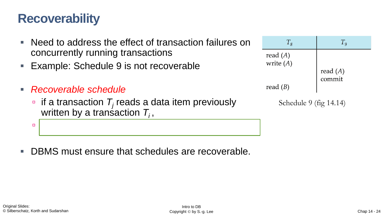## **Recoverability**

- Need to address the effect of transaction failures on concurrently running transactions
- Example: Schedule 9 is not recoverable
- *Recoverable schedule*
	- $\blacksquare$  if a transaction  $\mathcal{T}_j$  reads a data item previously written by a transaction  $T_i$ ,

the commit of *T<sup>i</sup>* appears before the commit of *T<sup>j</sup>*

DBMS must ensure that schedules are recoverable.

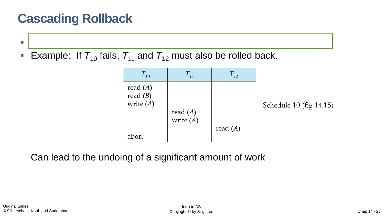# **Cascading Rollback**

- A single transaction failure can lead to a series of transaction rollbacks.
- **Example: If**  $T_{10}$  fails,  $T_{11}$  and  $T_{12}$  must also be rolled back.



Can lead to the undoing of a significant amount of work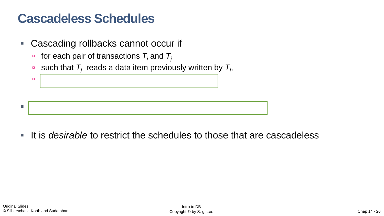## **Cascadeless Schedules**

- Cascading rollbacks cannot occur if
	- **for each pair of transactions**  $T_i$  **and**  $T_j$
	- such that  $\mathcal{T}_j$  reads a data item previously written by  $\mathcal{T}_i$ ,



**If is** *desirable* to restrict the schedules to those that are cascadeless